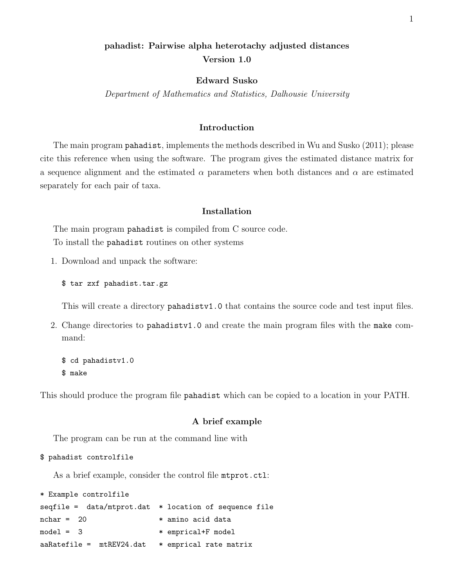# pahadist: Pairwise alpha heterotachy adjusted distances Version 1.0

## Edward Susko

Department of Mathematics and Statistics, Dalhousie University

# Introduction

The main program pahadist, implements the methods described in Wu and Susko (2011); please cite this reference when using the software. The program gives the estimated distance matrix for a sequence alignment and the estimated  $\alpha$  parameters when both distances and  $\alpha$  are estimated separately for each pair of taxa.

# Installation

The main program **pahadist** is compiled from C source code. To install the pahadist routines on other systems

1. Download and unpack the software:

\$ tar zxf pahadist.tar.gz

This will create a directory pahadistv1.0 that contains the source code and test input files.

2. Change directories to pahadistv1.0 and create the main program files with the make command:

\$ cd pahadistv1.0 \$ make

This should produce the program file pahadist which can be copied to a location in your PATH.

## A brief example

The program can be run at the command line with

\$ pahadist controlfile

As a brief example, consider the control file **mtprot**.ctl:

```
* Example controlfile
seqfile = data/mtprot.dat * location of sequence filenchar = 20 * amino acid data
model = 3 * * emprical+F model
aaRatefile = mtREV24.dat * emprical rate matrix
```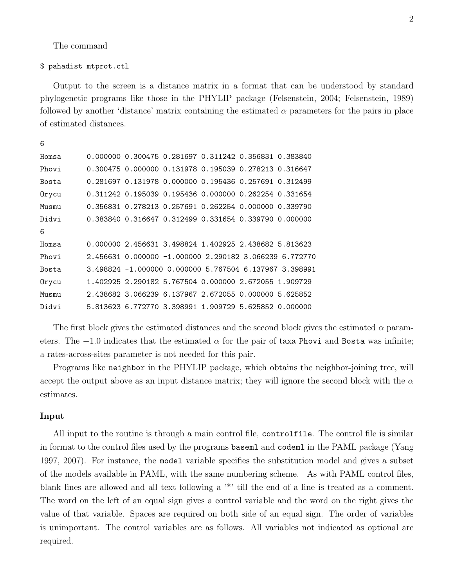### The command

#### \$ pahadist mtprot.ctl

Output to the screen is a distance matrix in a format that can be understood by standard phylogenetic programs like those in the PHYLIP package (Felsenstein, 2004; Felsenstein, 1989) followed by another 'distance' matrix containing the estimated  $\alpha$  parameters for the pairs in place of estimated distances.

| 6            |  |                                                       |  |                                                        |
|--------------|--|-------------------------------------------------------|--|--------------------------------------------------------|
| Homsa        |  | 0.000000 0.300475 0.281697 0.311242 0.356831 0.383840 |  |                                                        |
| Phovi        |  | 0.300475 0.000000 0.131978 0.195039 0.278213 0.316647 |  |                                                        |
| <b>Bosta</b> |  | 0.281697 0.131978 0.000000 0.195436 0.257691 0.312499 |  |                                                        |
| Orycu        |  | 0.311242 0.195039 0.195436 0.000000 0.262254 0.331654 |  |                                                        |
| Musmu        |  | 0.356831 0.278213 0.257691 0.262254 0.000000 0.339790 |  |                                                        |
| Didvi        |  | 0.383840 0.316647 0.312499 0.331654 0.339790 0.000000 |  |                                                        |
| 6            |  |                                                       |  |                                                        |
| Homsa        |  | 0.000000 2.456631 3.498824 1.402925 2.438682 5.813623 |  |                                                        |
| Phovi        |  |                                                       |  | 2.456631 0.000000 -1.000000 2.290182 3.066239 6.772770 |
| Bosta        |  |                                                       |  | 3.498824 -1.000000 0.000000 5.767504 6.137967 3.398991 |
| Orycu        |  | 1.402925 2.290182 5.767504 0.000000 2.672055 1.909729 |  |                                                        |
| Musmu        |  | 2.438682 3.066239 6.137967 2.672055 0.000000 5.625852 |  |                                                        |
| Didvi        |  | 5.813623 6.772770 3.398991 1.909729 5.625852 0.000000 |  |                                                        |

The first block gives the estimated distances and the second block gives the estimated  $\alpha$  parameters. The  $-1.0$  indicates that the estimated  $\alpha$  for the pair of taxa Phovi and Bosta was infinite; a rates-across-sites parameter is not needed for this pair.

Programs like neighbor in the PHYLIP package, which obtains the neighbor-joining tree, will accept the output above as an input distance matrix; they will ignore the second block with the  $\alpha$ estimates.

#### Input

All input to the routine is through a main control file, controlfile. The control file is similar in format to the control files used by the programs baseml and codeml in the PAML package (Yang 1997, 2007). For instance, the model variable specifies the substitution model and gives a subset of the models available in PAML, with the same numbering scheme. As with PAML control files, blank lines are allowed and all text following a '\*' till the end of a line is treated as a comment. The word on the left of an equal sign gives a control variable and the word on the right gives the value of that variable. Spaces are required on both side of an equal sign. The order of variables is unimportant. The control variables are as follows. All variables not indicated as optional are required.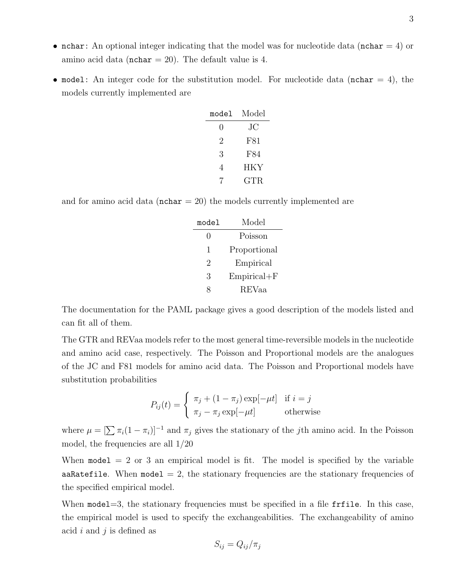- nchar: An optional integer indicating that the model was for nucleotide data (nchar  $= 4$ ) or amino acid data ( $nchar = 20$ ). The default value is 4.
- model: An integer code for the substitution model. For nucleotide data (nchar  $= 4$ ), the models currently implemented are

| Model        |  |  |
|--------------|--|--|
| JС           |  |  |
| F81          |  |  |
| F84          |  |  |
| HKY          |  |  |
| $_{\rm GTR}$ |  |  |
|              |  |  |

and for amino acid data ( $nchar = 20$ ) the models currently implemented are

| model        | Model           |  |  |
|--------------|-----------------|--|--|
| $\mathbf{0}$ | Poisson         |  |  |
| 1            | Proportional    |  |  |
| 2            | Empirical       |  |  |
| 3            | $Empirical + F$ |  |  |
|              | REVaa           |  |  |

The documentation for the PAML package gives a good description of the models listed and can fit all of them.

The GTR and REVaa models refer to the most general time-reversible models in the nucleotide and amino acid case, respectively. The Poisson and Proportional models are the analogues of the JC and F81 models for amino acid data. The Poisson and Proportional models have substitution probabilities

$$
P_{ij}(t) = \begin{cases} \pi_j + (1 - \pi_j) \exp[-\mu t] & \text{if } i = j \\ \pi_j - \pi_j \exp[-\mu t] & \text{otherwise} \end{cases}
$$

where  $\mu = \left[\sum \pi_i(1 - \pi_i)\right]^{-1}$  and  $\pi_j$  gives the stationary of the *j*th amino acid. In the Poisson model, the frequencies are all 1/20

When  $\text{model} = 2$  or 3 an empirical model is fit. The model is specified by the variable aaRatefile. When model  $= 2$ , the stationary frequencies are the stationary frequencies of the specified empirical model.

When model=3, the stationary frequencies must be specified in a file fritile. In this case, the empirical model is used to specify the exchangeabilities. The exchangeability of amino acid i and j is defined as

$$
S_{ij} = Q_{ij}/\pi_j
$$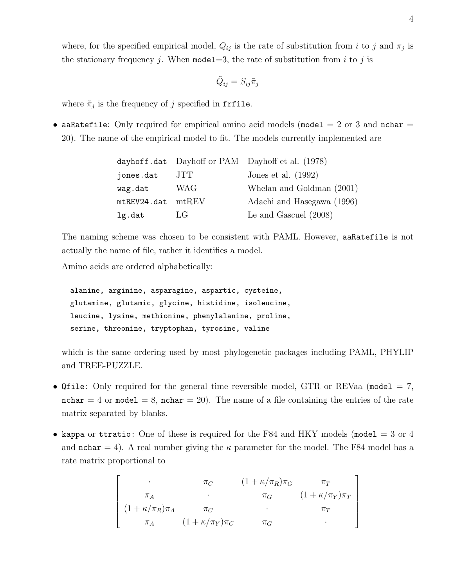where, for the specified empirical model,  $Q_{ij}$  is the rate of substitution from i to j and  $\pi_j$  is the stationary frequency j. When model  $=3$ , the rate of substitution from i to j is

$$
\tilde{Q}_{ij} = S_{ij}\tilde{\pi}_j
$$

where  $\tilde{\pi}_j$  is the frequency of j specified in frfile.

• aaRatefile: Only required for empirical amino acid models (model  $= 2$  or 3 and nchar  $=$ 20). The name of the empirical model to fit. The models currently implemented are

|             |             | dayhoff.dat Dayhoff or PAM Dayhoff et al. (1978) |
|-------------|-------------|--------------------------------------------------|
| jones.dat   | JTT         | Jones et al. $(1992)$                            |
| wag.dat     | WAG         | Whelan and Goldman (2001)                        |
| mtREV24.dat | $m$ t $REV$ | Adachi and Hasegawa (1996)                       |
| lg.dat      | LG          | Le and Gascuel $(2008)$                          |

The naming scheme was chosen to be consistent with PAML. However, aaRatefile is not actually the name of file, rather it identifies a model.

Amino acids are ordered alphabetically:

```
alanine, arginine, asparagine, aspartic, cysteine,
glutamine, glutamic, glycine, histidine, isoleucine,
leucine, lysine, methionine, phenylalanine, proline,
serine, threonine, tryptophan, tyrosine, valine
```
which is the same ordering used by most phylogenetic packages including PAML, PHYLIP and TREE-PUZZLE.

- Qfile: Only required for the general time reversible model, GTR or REVaa (model  $= 7$ , nchar  $= 4$  or model  $= 8$ , nchar  $= 20$ ). The name of a file containing the entries of the rate matrix separated by blanks.
- kappa or ttratio: One of these is required for the F84 and HKY models (model  $=$  3 or 4 and nchar  $= 4$ ). A real number giving the  $\kappa$  parameter for the model. The F84 model has a rate matrix proportional to

$$
\begin{bmatrix}\n\cdot & \pi_C & (1 + \kappa/\pi_R)\pi_G & \pi_T \\
\pi_A & \cdot & \pi_G & (1 + \kappa/\pi_Y)\pi_T \\
(1 + \kappa/\pi_R)\pi_A & \pi_C & \cdot & \pi_T \\
\pi_A & (1 + \kappa/\pi_Y)\pi_C & \pi_G & \cdot\n\end{bmatrix}
$$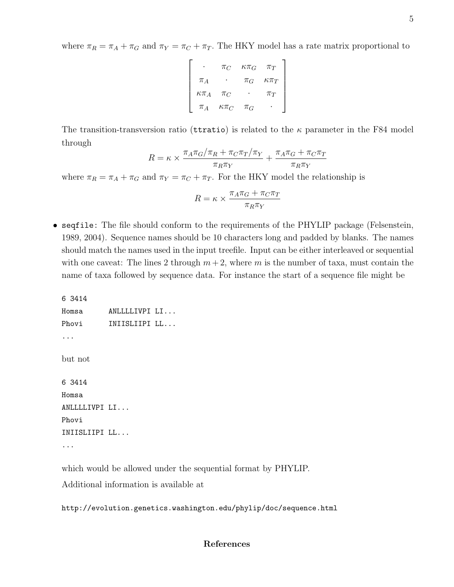where  $\pi_R = \pi_A + \pi_G$  and  $\pi_Y = \pi_C + \pi_T$ . The HKY model has a rate matrix proportional to

$$
\begin{bmatrix}\n\cdot & \pi_C & \kappa \pi_G & \pi_T \\
\pi_A & \cdot & \pi_G & \kappa \pi_T \\
\kappa \pi_A & \pi_C & \cdot & \pi_T \\
\pi_A & \kappa \pi_C & \pi_G & \cdot\n\end{bmatrix}
$$

The transition-transversion ratio (territories) is related to the  $\kappa$  parameter in the F84 model through

$$
R = \kappa \times \frac{\pi_A \pi_G/\pi_R + \pi_C \pi_T/\pi_Y}{\pi_R \pi_Y} + \frac{\pi_A \pi_G + \pi_C \pi_T}{\pi_R \pi_Y}
$$

where  $\pi_R = \pi_A + \pi_G$  and  $\pi_Y = \pi_C + \pi_T$ . For the HKY model the relationship is

$$
R = \kappa \times \frac{\pi_A \pi_G + \pi_C \pi_T}{\pi_R \pi_Y}
$$

• seqfile: The file should conform to the requirements of the PHYLIP package (Felsenstein, 1989, 2004). Sequence names should be 10 characters long and padded by blanks. The names should match the names used in the input treefile. Input can be either interleaved or sequential with one caveat: The lines 2 through  $m+2$ , where m is the number of taxa, must contain the name of taxa followed by sequence data. For instance the start of a sequence file might be

6 3414 Homsa ANLLLLIVPI LI... Phovi **INIISLIIPI LL...** ... but not 6 3414 Homsa ANLLLLIVPI LI... Phovi INIISLIIPI LL... ...

which would be allowed under the sequential format by PHYLIP.

Additional information is available at

http://evolution.genetics.washington.edu/phylip/doc/sequence.html

# References